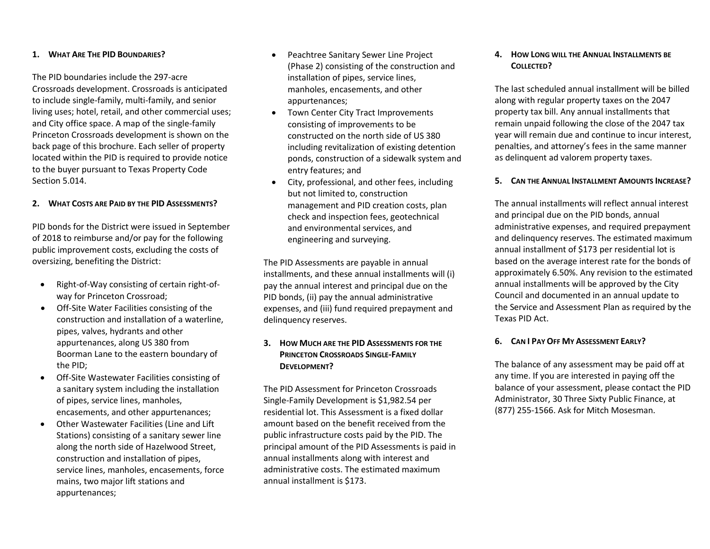### **1. WHAT ARE THE PID BOUNDARIES?**

The PID boundaries include the 297-acre Crossroads development. Crossroads is anticipated to include single-family, multi-family, and senior living uses; hotel, retail, and other commercial uses; and City office space. A map of the single-family Princeton Crossroads development is shown on the back page of this brochure. Each seller of property located within the PID is required to provide notice to the buyer pursuant to Texas Property Code Section 5.014.

#### **2. WHAT COSTS ARE PAID BY THE PID ASSESSMENTS?**

PID bonds for the District were issued in September of 2018 to reimburse and/or pay for the following public improvement costs, excluding the costs of oversizing, benefiting the District:

- Right-of-Way consisting of certain right-ofway for Princeton Crossroad;
- Off-Site Water Facilities consisting of the construction and installation of a waterline, pipes, valves, hydrants and other appurtenances, along US 380 from Boorman Lane to the eastern boundary of the PID;
- Off-Site Wastewater Facilities consisting of a sanitary system including the installation of pipes, service lines, manholes, encasements, and other appurtenances;
- Other Wastewater Facilities (Line and Lift Stations) consisting of a sanitary sewer line along the north side of Hazelwood Street, construction and installation of pipes, service lines, manholes, encasements, force mains, two major lift stations and appurtenances;
- Peachtree Sanitary Sewer Line Project (Phase 2) consisting of the construction and installation of pipes, service lines, manholes, encasements, and other appurtenances;
- Town Center City Tract Improvements consisting of improvements to be constructed on the north side of US 380 including revitalization of existing detention ponds, construction of a sidewalk system and entry features; and
- City, professional, and other fees, including but not limited to, construction management and PID creation costs, plan check and inspection fees, geotechnical and environmental services, and engineering and surveying.

The PID Assessments are payable in annual installments, and these annual installments will (i) pay the annual interest and principal due on the PID bonds, (ii) pay the annual administrative expenses, and (iii) fund required prepayment and delinquency reserves.

## **3. HOW MUCH ARE THE PID ASSESSMENTS FOR THE PRINCETON CROSSROADS SINGLE-FAMILY DEVELOPMENT?**

The PID Assessment for Princeton Crossroads Single-Family Development is \$1,982.54 per residential lot. This Assessment is a fixed dollar amount based on the benefit received from the public infrastructure costs paid by the PID. The principal amount of the PID Assessments is paid in annual installments along with interest and administrative costs. The estimated maximum annual installment is \$173.

# **4. HOW LONG WILL THE ANNUAL INSTALLMENTS BE COLLECTED?**

The last scheduled annual installment will be billed along with regular property taxes on the 2047 property tax bill. Any annual installments that remain unpaid following the close of the 2047 tax year will remain due and continue to incur interest, penalties, and attorney's fees in the same manner as delinquent ad valorem property taxes.

#### **5. CAN THE ANNUAL INSTALLMENT AMOUNTS INCREASE?**

The annual installments will reflect annual interest and principal due on the PID bonds, annual administrative expenses, and required prepayment and delinquency reserves. The estimated maximum annual installment of \$173 per residential lot is based on the average interest rate for the bonds of approximately 6.50%. Any revision to the estimated annual installments will be approved by the City Council and documented in an annual update to the Service and Assessment Plan as required by the Texas PID Act.

#### **6. CAN I PAY OFF MY ASSESSMENT EARLY?**

The balance of any assessment may be paid off at any time. If you are interested in paying off the balance of your assessment, please contact the PID Administrator, 30 Three Sixty Public Finance, at (877) 255-1566. Ask for Mitch Mosesman.